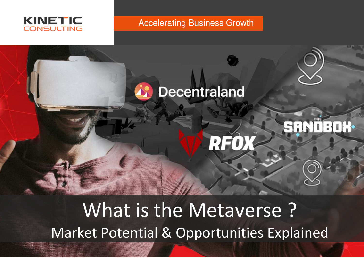

Accelerating Business Growth



What is the Metaverse ? Market Potential & Opportunities Explained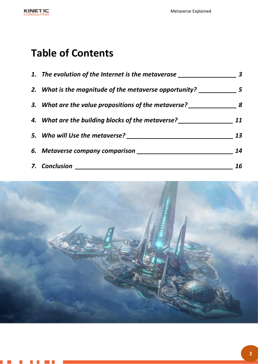

 $\mathcal{L}^{\text{max}}$ 

. .

a di serie della

# **Table of Contents**

| 1. The evolution of the Internet is the metaverase _________ |    |
|--------------------------------------------------------------|----|
| 2. What is the magnitude of the metaverse opportunity?       | 5  |
| 3. What are the value propositions of the metaverse?         | 8  |
| 4. What are the building blocks of the metaverse?            | 11 |
| 5. Who will Use the metaverse?                               | 13 |
| 6. Metaverse company comparison __                           | 14 |
| 7. Conclusion                                                | 16 |

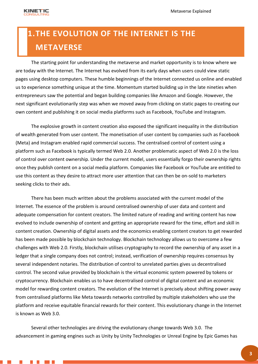

## <span id="page-2-0"></span>**1.THE EVOLUTION OF THE INTERNET IS THE METAVERSE**

The starting point for understanding the metaverse and market opportunity is to know where we are today with the Internet. The Internet has evolved from its early days when users could view static pages using desktop computers. These humble beginnings of the Internet connected us online and enabled us to experience something unique at the time. Momentum started building up in the late nineties when entrepreneurs saw the potential and began building companies like Amazon and Google. However, the next significant evolutionarily step was when we moved away from clicking on static pages to creating our own content and publishing it on social media platforms such as Facebook, YouTube and Instagram.

The explosive growth in content creation also exposed the significant inequality in the distribution of wealth generated from user content. The monetisation of user content by companies such as Facebook (Meta) and Instagram enabled rapid commercial success. The centralised control of content using a platform such as Facebook is typically termed Web 2.0. Another problematic aspect of Web 2.0 is the loss of control over content ownership. Under the current model, users essentially forgo their ownership rights once they publish content on a social media platform. Companies like Facebook or YouTube are entitled to use this content as they desire to attract more user attention that can then be on-sold to marketers seeking clicks to their ads.

There has been much written about the problems associated with the current model of the Internet. The essence of the problem is around centralised ownership of user data and content and adequate compensation for content creators. The limited nature of reading and writing content has now evolved to include ownership of content and getting an appropriate reward for the time, effort and skill in content creation. Ownership of digital assets and the economics enabling content creators to get rewarded has been made possible by blockchain technology. Blockchain technology allows us to overcome a few challenges with Web 2.0. Firstly, blockchain utilises cryptography to record the ownership of any asset in a ledger that a single company does not control; instead, verification of ownership requires consensus by several independent notaries. The distribution of control to unrelated parties gives us decentralised control. The second value provided by blockchain is the virtual economic system powered by tokens or cryptocurrency. Blockchain enables us to have decentralised control of digital content and an economic model for rewarding content creators. The evolution of the Internet is precisely about shifting power away from centralised platforms like Meta towards networks controlled by multiple stakeholders who use the platform and receive equitable financial rewards for their content. This evolutionary change in the Internet is known as Web 3.0.

Several other technologies are driving the evolutionary change towards Web 3.0. The advancement in gaming engines such as Unity by Unity Technologies or Unreal Engine by Epic Games has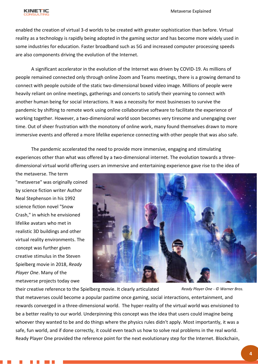

enabled the creation of virtual 3-d worlds to be created with greater sophistication than before. Virtual reality as a technology is rapidly being adopted in the gaming sector and has become more widely used in some industries for education. Faster broadband such as 5G and increased computer processing speeds are also components driving the evolution of the Internet.

A significant accelerator in the evolution of the Internet was driven by COVID-19. As millions of people remained connected only through online Zoom and Teams meetings, there is a growing demand to connect with people outside of the static two-dimensional boxed video image. Millions of people were heavily reliant on online meetings, gatherings and concerts to satisfy their yearning to connect with another human being for social interactions. It was a necessity for most businesses to survive the pandemic by shifting to remote work using online collaborative software to facilitate the experience of working together. However, a two-dimensional world soon becomes very tiresome and unengaging over time. Out of sheer frustration with the monotony of online work, many found themselves drawn to more immersive events and offered a more lifelike experience connecting with other people that was also safe.

The pandemic accelerated the need to provide more immersive, engaging and stimulating experiences other than what was offered by a two-dimensional internet. The evolution towards a threedimensional virtual world offering users an immersive and entertaining experience gave rise to the idea of

the metaverse. The term "metaverse" was originally coined by science fiction writer Author Neal Stephenson in his 1992 science fiction novel "Snow Crash," in which he envisioned lifelike avatars who met in realistic 3D buildings and other virtual reality environments. The concept was further given creative stimulus in the Steven Spielberg movie in 2018, *Ready Player One*. Many of the metaverse projects today owe



their creative reference to the Spielberg movie. It clearly articulated that metaverses could become a popular pastime once gaming, social interactions, entertainment, and rewards converged in a three-dimensional world. The hyper-reality of the virtual world was envisioned to be a better reality to our world. Underpinning this concept was the idea that users could imagine being whoever they wanted to be and do things where the physics rules didn't apply. Most importantly, it was a safe, fun world, and if done correctly, it could even teach us how to solve real problems in the real world. Ready Player One provided the reference point for the next evolutionary step for the Internet. Blockchain, *Ready Player One - © Warner Bros.*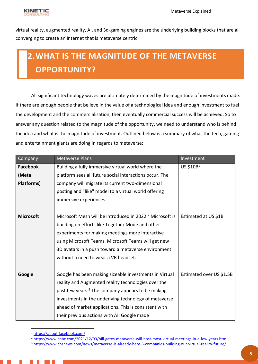

virtual reality, augmented reality, AI, and 3d-gaming engines are the underlying building blocks that are all converging to create an Internet that is metaverse centric.

### <span id="page-4-0"></span>**2.WHAT IS THE MAGNITUDE OF THE METAVERSE OPPORTUNITY?**

All significant technology waves are ultimately determined by the magnitude of investments made. If there are enough people that believe in the value of a technological idea and enough investment to fuel the development and the commercialisation, then eventually commercial success will be achieved. So to answer any question related to the magnitude of the opportunity, we need to understand who is behind the idea and what is the magnitude of investment. Outlined below is a summary of what the tech, gaming and entertainment giants are doing in regards to metaverse:

| Company          | <b>Metaverse Plans</b>                                               | Investment               |
|------------------|----------------------------------------------------------------------|--------------------------|
| Facebook         | Building a fully immersive virtual world where the                   | US \$10B1                |
| (Meta            | platform sees all future social interactions occur. The              |                          |
| Platforms)       | company will migrate its current two-dimensional                     |                          |
|                  | posting and "like" model to a virtual world offering                 |                          |
|                  | immersive experiences.                                               |                          |
|                  |                                                                      |                          |
| <b>Microsoft</b> | Microsoft Mesh will be introduced in 2022. <sup>2</sup> Microsoft is | Estimated at US \$1B     |
|                  | building on efforts like Together Mode and other                     |                          |
|                  | experiments for making meetings more interactive                     |                          |
|                  | using Microsoft Teams. Microsoft Teams will get new                  |                          |
|                  | 3D avatars in a push toward a metaverse environment                  |                          |
|                  | without a need to wear a VR headset.                                 |                          |
|                  |                                                                      |                          |
| Google           | Google has been making sizeable investments in Virtual               | Estimated over US \$1.5B |
|                  | reality and Augmented reality technologies over the                  |                          |
|                  | past few years. <sup>3</sup> The company appears to be making        |                          |
|                  | investments in the underlying technology of metaverse                |                          |
|                  | ahead of market applications. This is consistent with                |                          |
|                  | their previous actions with AI. Google made                          |                          |

<sup>1</sup> <https://about.facebook.com/>

<sup>2</sup> <https://www.cnbc.com/2021/12/09/bill-gates-metaverse-will-host-most-virtual-meetings-in-a-few-years.html>

<sup>3</sup> <https://www.cbsnews.com/news/metaverse-is-already-here-5-companies-building-our-virtual-reality-future/>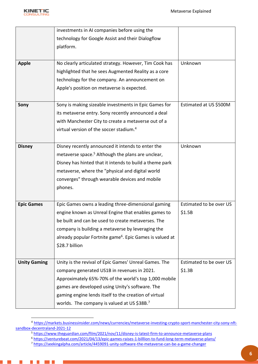

Ш

|                     | investments in AI companies before using the                         |                         |
|---------------------|----------------------------------------------------------------------|-------------------------|
|                     | technology for Google Assist and their Dialogflow                    |                         |
|                     | platform.                                                            |                         |
|                     |                                                                      |                         |
| <b>Apple</b>        | No clearly articulated strategy. However, Tim Cook has               | Unknown                 |
|                     | highlighted that he sees Augmented Reality as a core                 |                         |
|                     | technology for the company. An announcement on                       |                         |
|                     | Apple's position on metaverse is expected.                           |                         |
|                     |                                                                      |                         |
| Sony                | Sony is making sizeable investments in Epic Games for                | Estimated at US \$500M  |
|                     | its metaverse entry. Sony recently announced a deal                  |                         |
|                     | with Manchester City to create a metaverse out of a                  |                         |
|                     | virtual version of the soccer stadium. <sup>4</sup>                  |                         |
|                     |                                                                      |                         |
| <b>Disney</b>       | Disney recently announced it intends to enter the                    | Unknown                 |
|                     | metaverse space. <sup>5</sup> Although the plans are unclear,        |                         |
|                     | Disney has hinted that it intends to build a theme park              |                         |
|                     | metaverse, where the "physical and digital world                     |                         |
|                     | converges" through wearable devices and mobile                       |                         |
|                     | phones.                                                              |                         |
|                     |                                                                      |                         |
| <b>Epic Games</b>   | Epic Games owns a leading three-dimensional gaming                   | Estimated to be over US |
|                     | engine known as Unreal Engine that enables games to                  | \$1.5B                  |
|                     | be built and can be used to create metaverses. The                   |                         |
|                     | company is building a metaverse by leveraging the                    |                         |
|                     | already popular Fortnite game <sup>6</sup> . Epic Games is valued at |                         |
|                     | \$28.7 billion                                                       |                         |
|                     |                                                                      |                         |
| <b>Unity Gaming</b> | Unity is the revival of Epic Games' Unreal Games. The                | Estimated to be over US |
|                     | company generated US1B in revenues in 2021.                          | \$1.3B                  |
|                     | Approximately 65%-70% of the world's top 1,000 mobile                |                         |
|                     | games are developed using Unity's software. The                      |                         |
|                     | gaming engine lends itself to the creation of virtual                |                         |
|                     | worlds. The company is valued at US \$38B.7                          |                         |

<sup>4</sup> [https://markets.businessinsider.com/news/currencies/metaverse-investing-crypto-sport-manchester-city-sony-nft](https://markets.businessinsider.com/news/currencies/metaverse-investing-crypto-sport-manchester-city-sony-nft-sandbox-decentraland-2021-12)[sandbox-decentraland-2021-12](https://markets.businessinsider.com/news/currencies/metaverse-investing-crypto-sport-manchester-city-sony-nft-sandbox-decentraland-2021-12) 

<sup>&</sup>lt;sup>5</sup> https://www.theguardian.com/film/2021/nov/11/disney-is-latest-firm-to-announce-metaverse-plans

<sup>6</sup> <https://venturebeat.com/2021/04/13/epic-games-raises-1-billlion-to-fund-long-term-metaverse-plans/>

<sup>7</sup> <https://seekingalpha.com/article/4459091-unity-software-the-metaverse-can-be-a-game-changer>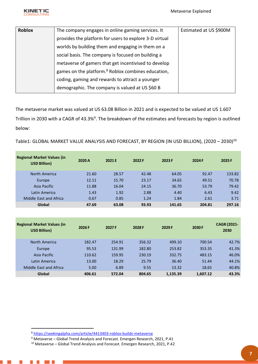

| <b>Roblox</b> | The company engages in online gaming services. It              | Estimated at US \$900M |
|---------------|----------------------------------------------------------------|------------------------|
|               | provides the platform for users to explore 3-D virtual         |                        |
|               | worlds by building them and engaging in them on a              |                        |
|               | social basis. The company is focused on building a             |                        |
|               | metaverse of gamers that get incentivised to develop           |                        |
|               | games on the platform. <sup>8</sup> Roblox combines education, |                        |
|               | coding, gaming and rewards to attract a younger                |                        |
|               | demographic. The company is valued at US \$60 B                |                        |

The metaverse market was valued at US 63.08 Billion in 2021 and is expected to be valued at US 1.607 Trillion in 2030 with a CAGR of 43.3%<sup>9</sup>. The breakdown of the estimates and forecasts by region is outlined below:

Table1: GLOBAL MARKET VALUE ANALYSIS AND FORECAST, BY REGION (IN USD BILLION), (2020 - 2030)<sup>10</sup>

| <b>Regional Market Values (in</b><br><b>USD Billion)</b> | 2020 A | 2021 E | 2022 F | 2023 F | 2024 F | 2025 F |
|----------------------------------------------------------|--------|--------|--------|--------|--------|--------|
| North America                                            | 21.60  | 28.57  | 42.48  | 64.05  | 92.47  | 133.82 |
| Europe <sub></sub>                                       | 12.11  | 15.70  | 23.17  | 34.65  | 49.51  | 70.78  |
| Asia Pacific                                             | 11.88  | 16.04  | 24.15  | 36.70  | 53.79  | 79.42  |
| Latin America                                            | 1.43   | 1.92   | 2.88   | 4.40   | 6.43   | 9.42   |
| Middle East and Africa                                   | 0.67   | 0.85   | 1.24   | 1.84   | 2.61   | 3.71   |
| Global                                                   | 47.69  | 63.08  | 93.93  | 141.65 | 204.81 | 297.16 |

| <b>Regional Market Values (in</b><br><b>USD Billion)</b> | 2026 F | 2027 F | 2028 F | 2029 F   | 2030 F   | <b>CAGR (2021-</b><br>2030 |
|----------------------------------------------------------|--------|--------|--------|----------|----------|----------------------------|
| North America                                            | 182.47 | 254.91 | 356.32 | 499.10   | 700.54   | 42.7%                      |
| Europe                                                   | 95.53  | 131.99 | 182.80 | 253.82   | 353.35   | 41.3%                      |
| Asia Pacific                                             | 110.62 | 159.95 | 230.19 | 332.75   | 483.15   | 46.0%                      |
| Latin America                                            | 13.00  | 18.29  | 25.79  | 36.40    | 51.44    | 44.1%                      |
| Middle East and Africa                                   | 5.00   | 6.89   | 9.55   | 13.32    | 18.65    | 40.8%                      |
| Global                                                   | 406.61 | 572.04 | 804.65 | 1,135.39 | 1,607.12 | 43.3%                      |

**The Second** a sa Ba

<sup>8</sup> <https://seekingalpha.com/article/4413403-roblox-builds-metaverse>

<sup>&</sup>lt;sup>9</sup> Metaverse – Global Trend Analysis and Forecast. Emergen Research, 2021, P.41

<sup>10</sup> Metaverse – Global Trend Analysis and Forecast. Emergen Research, 2021, P.42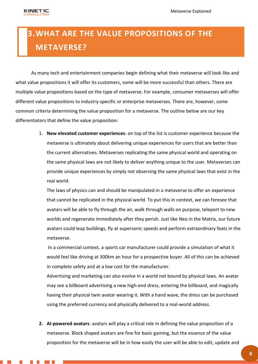#### <span id="page-7-0"></span>**3.WHAT ARE THE VALUE PROPOSITIONS OF THE METAVERSE?**

As many tech and entertainment companies begin defining what their metaverse will look like and what value propositions it will offer its customers, some will be more successful than others. There are multiple value propositions based on the type of metaverse. For example, consumer metaverses will offer different value propositions to industry-specific or enterprise metaverses. There are, however, some common criteria determining the value proposition for a metaverse. The outline below are our key differentiators that define the value proposition:

> 1. **New elevated customer experiences**: on top of the list is customer experience because the metaverse is ultimately about delivering unique experiences for users that are better than the current alternatives. Metaverses replicating the same physical world and operating on the same physical laws are not likely to deliver anything unique to the user. Metaverses can provide unique experiences by simply not observing the same physical laws that exist in the real world.

The laws of physics can and should be manipulated in a metaverse to offer an experience that cannot be replicated in the physical world. To put this in context, we can foresee that avatars will be able to fly through the air, walk through walls on purpose, teleport to new worlds and regenerate immediately after they perish. Just like Neo in the Matrix, our future avatars could leap buildings, fly at supersonic speeds and perform extraordinary feats in the metaverse.

 In a commercial context, a sports car manufacturer could provide a simulation of what it would feel like driving at 300km an hour for a prospective buyer. All of this can be achieved in complete safety and at a low cost for the manufacturer.

Advertising and marketing can also evolve In a world not bound by physical laws. An avatar may see a billboard advertising a new high-end dress, entering the billboard, and magically having their physical twin avatar wearing it. With a hand wave, the dress can be purchased using the preferred currency and physically delivered to a real-world address.

**2. AI-powered avatars**: avatars will play a critical role in defining the value proposition of a metaverse. Block shaped avatars are fine for basic gaming, but the essence of the value proposition for the metaverse will be in how easily the user will be able to edit, update and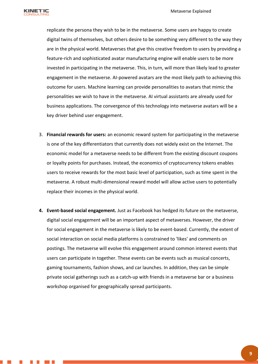

replicate the persona they wish to be in the metaverse. Some users are happy to create digital twins of themselves, but others desire to be something very different to the way they are in the physical world. Metaverses that give this creative freedom to users by providing a feature-rich and sophisticated avatar manufacturing engine will enable users to be more invested in participating in the metaverse. This, in turn, will more than likely lead to greater engagement in the metaverse. AI-powered avatars are the most likely path to achieving this outcome for users. Machine learning can provide personalities to avatars that mimic the personalities we wish to have in the metaverse. AI virtual assistants are already used for business applications. The convergence of this technology into metaverse avatars will be a key driver behind user engagement.

- 3. **Financial rewards for users:** an economic reward system for participating in the metaverse is one of the key differentiators that currently does not widely exist on the Internet. The economic model for a metaverse needs to be different from the existing discount coupons or loyalty points for purchases. Instead, the economics of cryptocurrency tokens enables users to receive rewards for the most basic level of participation, such as time spent in the metaverse. A robust multi-dimensional reward model will allow active users to potentially replace their incomes in the physical world.
- **4. Event-based social engagement.** Just as Facebook has hedged its future on the metaverse, digital social engagement will be an important aspect of metaverses. However, the driver for social engagement in the metaverse is likely to be event-based. Currently, the extent of social interaction on social media platforms is constrained to 'likes' and comments on postings. The metaverse will evolve this engagement around common interest events that users can participate in together. These events can be events such as musical concerts, gaming tournaments, fashion shows, and car launches. In addition, they can be simple private social gatherings such as a catch-up with friends in a metaverse bar or a business workshop organised for geographically spread participants.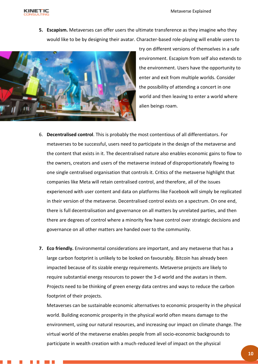

**5. Escapism.** Metaverses can offer users the ultimate transference as they imagine who they would like to be by designing their avatar. Character-based role-playing will enable users to



try on different versions of themselves in a safe environment. Escapism from self also extends to the environment. Users have the opportunity to enter and exit from multiple worlds. Consider the possibility of attending a concert in one world and then leaving to enter a world where alien beings roam.

- 6. **Decentralised control**. This is probably the most contentious of all differentiators. For metaverses to be successful, users need to participate in the design of the metaverse and the content that exists in it. The decentralised nature also enables economic gains to flow to the owners, creators and users of the metaverse instead of disproportionately flowing to one single centralised organisation that controls it. Critics of the metaverse highlight that companies like Meta will retain centralised control, and therefore, all of the issues experienced with user content and data on platforms like Facebook will simply be replicated in their version of the metaverse. Decentralised control exists on a spectrum. On one end, there is full decentralisation and governance on all matters by unrelated parties, and then there are degrees of control where a minority few have control over strategic decisions and governance on all other matters are handed over to the community.
- **7. Eco friendly.** Environmental considerations are important, and any metaverse that has a large carbon footprint is unlikely to be looked on favourably. Bitcoin has already been impacted because of its sizable energy requirements. Metaverse projects are likely to require substantial energy resources to power the 3-d world and the avatars in them. Projects need to be thinking of green energy data centres and ways to reduce the carbon footprint of their projects.

Metaverses can be sustainable economic alternatives to economic prosperity in the physical world. Building economic prosperity in the physical world often means damage to the environment, using our natural resources, and increasing our impact on climate change. The virtual world of the metaverse enables people from all socio-economic backgrounds to participate in wealth creation with a much-reduced level of impact on the physical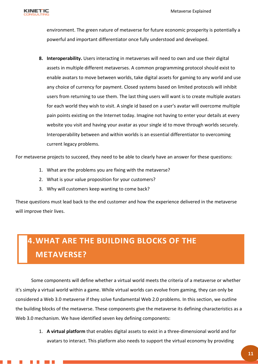environment. The green nature of metaverse for future economic prosperity is potentially a powerful and important differentiator once fully understood and developed.

**8. Interoperability.** Users interacting in metaverses will need to own and use their digital assets in multiple different metaverses. A common programming protocol should exist to enable avatars to move between worlds, take digital assets for gaming to any world and use any choice of currency for payment. Closed systems based on limited protocols will inhibit users from returning to use them. The last thing users will want is to create multiple avatars for each world they wish to visit. A single id based on a user's avatar will overcome multiple pain points existing on the Internet today. Imagine not having to enter your details at every website you visit and having your avatar as your single id to move through worlds securely. Interoperability between and within worlds is an essential differentiator to overcoming current legacy problems.

For metaverse projects to succeed, they need to be able to clearly have an answer for these questions:

- 1. What are the problems you are fixing with the metaverse?
- 2. What is your value proposition for your customers?
- 3. Why will customers keep wanting to come back?

These questions must lead back to the end customer and how the experience delivered in the metaverse will improve their lives.

#### <span id="page-10-0"></span>**4.WHAT ARE THE BUILDING BLOCKS OF THE METAVERSE?**

Some components will define whether a virtual world meets the criteria of a metaverse or whether it's simply a virtual world within a game. While virtual worlds can evolve from gaming, they can only be considered a Web 3.0 metaverse if they solve fundamental Web 2.0 problems. In this section, we outline the building blocks of the metaverse. These components give the metaverse its defining characteristics as a Web 3.0 mechanism. We have identified seven key defining components:

> 1. **A virtual platform** that enables digital assets to exist in a three-dimensional world and for avatars to interact. This platform also needs to support the virtual economy by providing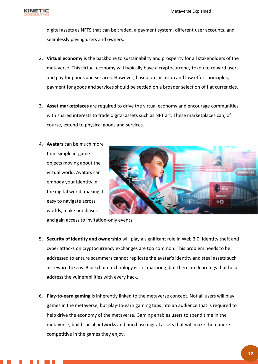

digital assets as NFTS that can be traded, a payment system, different user accounts, and seamlessly paying users and owners.

- 2. **Virtual economy** is the backbone to sustainability and prosperity for all stakeholders of the metaverse. This virtual economy will typically have a cryptocurrency token to reward users and pay for goods and services. However, based on inclusion and low effort principles, payment for goods and services should be settled on a broader selection of fiat currencies.
- 3. **Asset marketplaces** are required to drive the virtual economy and encourage communities with shared interests to trade digital assets such as NFT art. These marketplaces can, of course, extend to physical goods and services.
- 4. **Avatars** can be much more than simple in-game objects moving about the virtual world. Avatars can embody your identity in the digital world, making it easy to navigate across worlds, make purchases



and gain access to invitation-only events.

- 5. **Security of identity and ownership** will play a significant role in Web 3.0. Identity theft and cyber attacks on cryptocurrency exchanges are too common. This problem needs to be addressed to ensure scammers cannot replicate the avatar's identity and steal assets such as reward tokens. Blockchain technology is still maturing, but there are learnings that help address the vulnerabilities with every hack.
- 6. **Play-to-earn gaming** is inherently linked to the metaverse concept. Not all users will play games in the metaverse, but play-to-earn gaming taps into an audience that is required to help drive the economy of the metaverse. Gaming enables users to spend time in the metaverse, build social networks and purchase digital assets that will make them more competitive in the games they enjoy.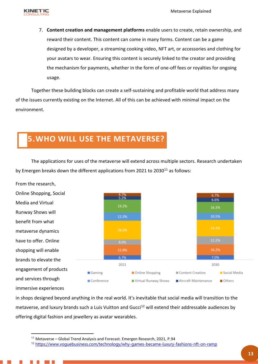

7. **Content creation and management platforms** enable users to create, retain ownership, and reward their content. This content can come in many forms. Content can be a game designed by a developer, a streaming cooking video, NFT art, or accessories and clothing for your avatars to wear. Ensuring this content is securely linked to the creator and providing the mechanism for payments, whether in the form of one-off fees or royalties for ongoing usage.

Together these building blocks can create a self-sustaining and profitable world that address many of the issues currently existing on the Internet. All of this can be achieved with minimal impact on the environment.

#### <span id="page-12-0"></span>**5.WHO WILL USE THE METAVERSE?**

The applications for uses of the metaverse will extend across multiple sectors. Research undertaken by Emergen breaks down the different applications from 2021 to 2030<sup>11</sup> as follows:



in shops designed beyond anything in the real world. It's inevitable that social media will transition to the metaverse, and luxury brands such a Luis Vuitton and Gucci<sup>12</sup> will extend their addressable audiences by offering digital fashion and jewellery as avatar wearables.

<sup>&</sup>lt;sup>11</sup> Metaverse - Global Trend Analysis and Forecast. Emergen Research, 2021, P.94

<sup>&</sup>lt;sup>12</sup> https://www.voguebusiness.com/technology/why-games-became-luxury-fashions-nft-on-ramp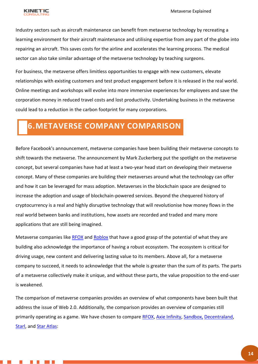

Industry sectors such as aircraft maintenance can benefit from metaverse technology by recreating a learning environment for their aircraft maintenance and utilising expertise from any part of the globe into repairing an aircraft. This saves costs for the airline and accelerates the learning process. The medical sector can also take similar advantage of the metaverse technology by teaching surgeons.

For business, the metaverse offers limitless opportunities to engage with new customers, elevate relationships with existing customers and test product engagement before it is released in the real world. Online meetings and workshops will evolve into more immersive experiences for employees and save the corporation money in reduced travel costs and lost productivity. Undertaking business in the metaverse could lead to a reduction in the carbon footprint for many corporations.

#### <span id="page-13-0"></span>**6.METAVERSE COMPANY COMPARISON**

Before Facebook's announcement, metaverse companies have been building their metaverse concepts to shift towards the metaverse. The announcement by Mark Zuckerberg put the spotlight on the metaverse concept, but several companies have had at least a two-year head start on developing their metaverse concept. Many of these companies are building their metaverses around what the technology can offer and how it can be leveraged for mass adoption. Metaverses in the blockchain space are designed to increase the adoption and usage of blockchain-powered services. Beyond the chequered history of cryptocurrency is a real and highly disruptive technology that will revolutionise how money flows in the real world between banks and institutions, how assets are recorded and traded and many more applications that are still being imagined.

Metaverse companies like [RFOX](https://rfox.com/) and [Roblox](https://roblox.com/) that have a good grasp of the potential of what they are building also acknowledge the importance of having a robust ecosystem. The ecosystem is critical for driving usage, new content and delivering lasting value to its members. Above all, for a metaverse company to succeed, it needs to acknowledge that the whole is greater than the sum of its parts. The parts of a metaverse collectively make it unique, and without these parts, the value proposition to the end-user is weakened.

The comparison of metaverse companies provides an overview of what components have been built that address the issue of Web 2.0. Additionally, the comparison provides an overview of companies still primarily operating as a game. We have chosen to compare [RFOX,](https://rfox.com/) [Axie Infinity,](https://axieinfinity.com/) [Sandbox,](https://www.sandbox.game/) [Decentraland,](https://decentraland.org/) [Starl,](https://www.starltoken.com/) and [Star Atlas:](https://staratlas.com/)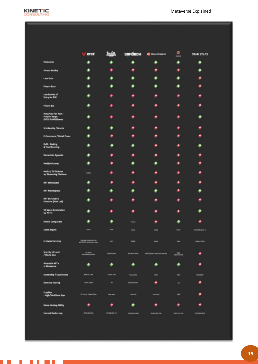

. . . . . . .

**Contract Contract Contract** 

|                                                            | <b>RFOX</b>                                             |                    | <b>SANDBOH</b>       | <b>C</b> Decentraland          | ø<br>$-$    | <b>STAR ATLAS</b>     |
|------------------------------------------------------------|---------------------------------------------------------|--------------------|----------------------|--------------------------------|-------------|-----------------------|
| <b>Metaverse</b>                                           |                                                         |                    |                      |                                |             |                       |
| <b>Virtual Reality</b>                                     |                                                         |                    |                      |                                |             |                       |
| <b>Land Sale</b>                                           |                                                         |                    |                      |                                |             |                       |
| Play to Earn                                               |                                                         |                    |                      |                                |             |                       |
| <b>Low Barrier of</b><br>Entry for P2E                     |                                                         |                    |                      |                                |             |                       |
| Play to Eat                                                |                                                         |                    |                      |                                |             |                       |
| MetaPlay-For-Neys -<br>Play for keeps<br>(XFOX CAMES)verse |                                                         |                    |                      |                                |             |                       |
| Scholarship / Grants                                       |                                                         |                    |                      |                                |             |                       |
| E-Commerce / Retail Focus                                  |                                                         |                    |                      |                                |             |                       |
| DeFi - Staking<br><b>&amp; Yield Farming</b>               |                                                         |                    |                      |                                |             |                       |
| <b>Blockchain Agnostic</b>                                 |                                                         |                    |                      |                                |             |                       |
| <b>Multiple Cames</b>                                      |                                                         |                    |                      |                                |             |                       |
| Media / TV Division<br>w/ Streaming Platform               | Future                                                  |                    |                      |                                |             |                       |
| <b>NFT Whitelabel</b>                                      |                                                         |                    |                      |                                |             |                       |
| <b>NFT Marketplace</b>                                     |                                                         |                    |                      |                                |             |                       |
| <b>NFT Deriviative</b><br>Platform (Mint Lab)              |                                                         |                    |                      |                                |             |                       |
| <b>VII Space Exploration</b><br>w/NFT's                    |                                                         |                    |                      |                                |             |                       |
| <b>Mobile Compatible</b>                                   |                                                         |                    | Future               |                                |             |                       |
| <b>Came Engine</b>                                         | <b>Unity</b>                                            | <b>NA</b>          | Unity                | usity                          | Unity       | <b>Unnel Engine 5</b> |
| In-Came Currency                                           | Multiple, including fiat<br>with BFDIX settlement laper | <b>B</b>           | <b>SAAD</b>          | Maria                          | <b>Bad</b>  | Mas & Polic           |
| Scarcity of Land<br>/ World Size                           | 120 plots /<br>4 thereof quarters                       | <b>MUNIT pipes</b> | 106-A64 Lands        | 98000 plots / Niest and Nacent |             | ۰                     |
| Wearable NFT's<br>in Metawerse                             | ۰                                                       | ۰                  | ۰                    | ۰                              | ۰           | ۰                     |
| <b>Ownership / Governance</b>                              | <b>RedFox Labs</b>                                      | Future (A)         | <b>Future OKO</b>    | DKO                            | DKD         | DICOND                |
| <b>Revenue sharing</b>                                     | MPDR token                                              | m                  | <b>Staking Pools</b> | ۰                              | <b>No</b>   | ۰                     |
| <b>Craphics</b><br>- High/Med/Low Spec                     | 10 Unity - Higher Spec                                  | Low tower          | Lowmed               | Low spot                       | High        | ۰                     |
| <b>Came Making Ability</b>                                 | ۰                                                       | ۰                  | ۰                    | ۰                              | ۰           | ۰                     |
| <b>Current Market cap</b>                                  | \$203,906,296                                           | 0308223419         | 54,640,570,053       | \$4,955,306,786                | \$49,04,010 | SERGHAZEN             |